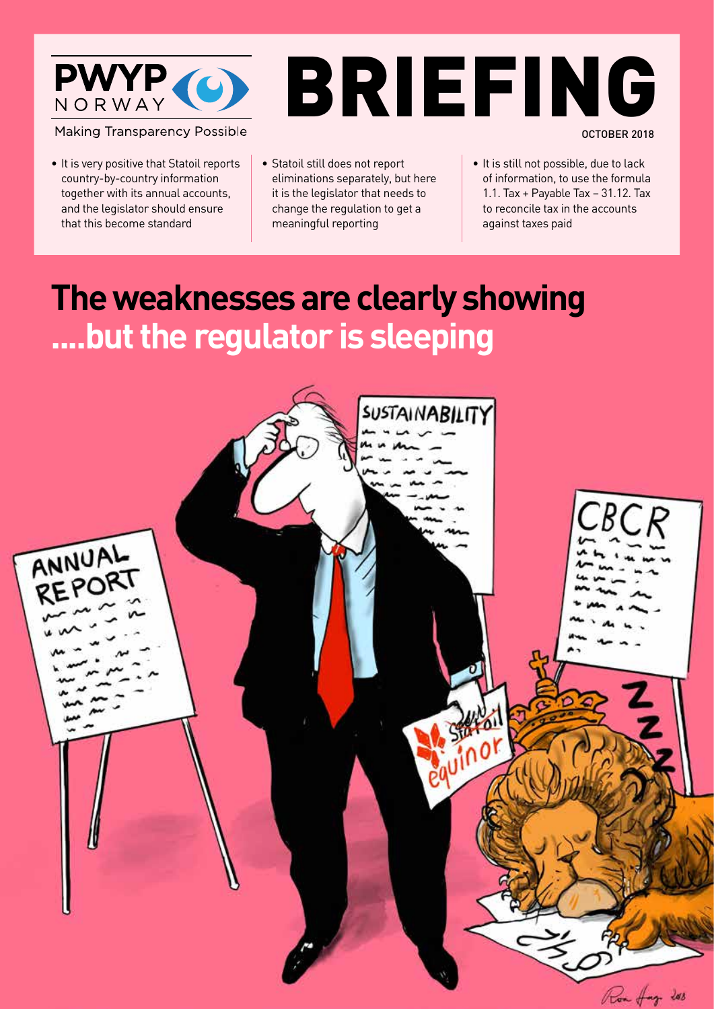

**Making Transparency Possible** 

- It is very positive that Statoil reports country-by-country information together with its annual accounts, and the legislator should ensure that this become standard
- • Statoil still does not report eliminations separately, but here it is the legislator that needs to change the regulation to get a meaningful reporting
- • It is still not possible, due to lack of information, to use the formula 1.1. Tax + Payable Tax – 31.12. Tax to reconcile tax in the accounts against taxes paid

OCTOBER 2018

BRIEFING

# **The weaknesses are clearly showing ....but the regulator is sleeping**

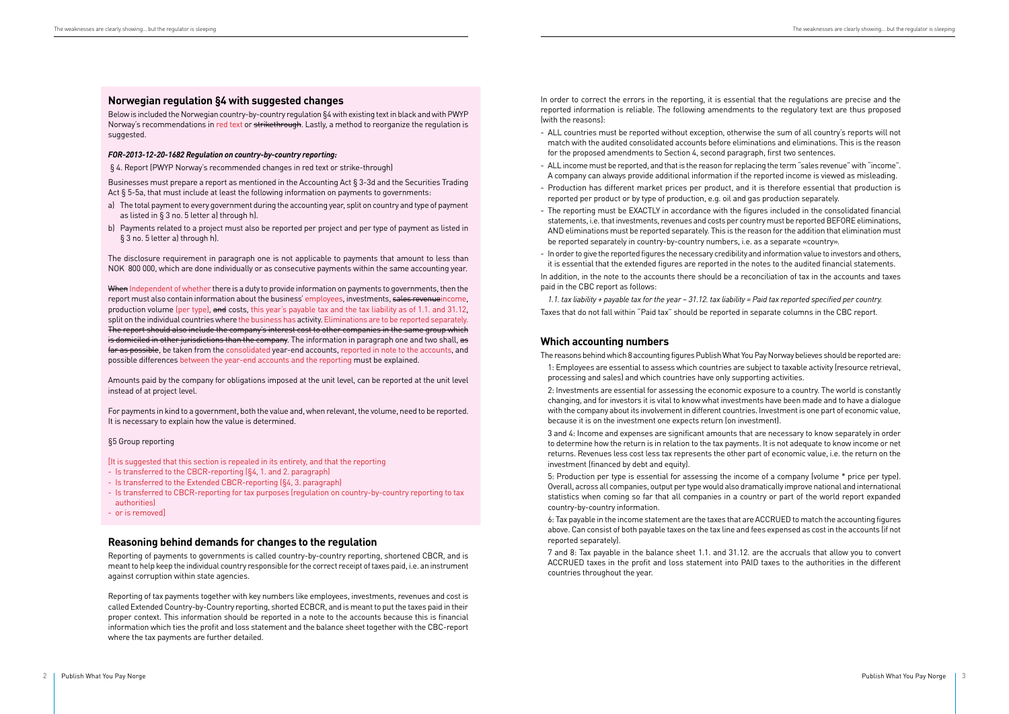In order to correct the errors in the reporting, it is essential that the regulations are precise and the reported information is reliable. The following amendments to the regulatory text are thus proposed (with the reasons):

- ALL countries must be reported without exception, otherwise the sum of all country's reports will not match with the audited consolidated accounts before eliminations and eliminations. This is the reason for the proposed amendments to Section 4, second paragraph, first two sentences.
- ALL income must be reported, and that is the reason for replacing the term "sales revenue" with "income". A company can always provide additional information if the reported income is viewed as misleading.
- Production has different market prices per product, and it is therefore essential that production is reported per product or by type of production, e.g. oil and gas production separately.
- The reporting must be EXACTLY in accordance with the figures included in the consolidated financial statements, i.e. that investments, revenues and costs per country must be reported BEFORE eliminations, AND eliminations must be reported separately. This is the reason for the addition that elimination must be reported separately in country-by-country numbers, i.e. as a separate «country».
- In order to give the reported figures the necessary credibility and information value to investors and others, it is essential that the extended figures are reported in the notes to the audited financial statements.

In addition, in the note to the accounts there should be a reconciliation of tax in the accounts and taxes paid in the CBC report as follows:

*1.1. tax liability + payable tax for the year – 31.12. tax liability = Paid tax reported specified per country.* Taxes that do not fall within "Paid tax" should be reported in separate columns in the CBC report.

# **Which accounting numbers**

The reasons behind which 8 accounting figures Publish What You Pay Norway believes should be reported are:

1: Employees are essential to assess which countries are subject to taxable activity (resource retrieval, processing and sales) and which countries have only supporting activities.

2: Investments are essential for assessing the economic exposure to a country. The world is constantly changing, and for investors it is vital to know what investments have been made and to have a dialogue with the company about its involvement in different countries. Investment is one part of economic value, because it is on the investment one expects return (on investment).

When Independent of whether there is a duty to provide information on payments to governments, then the report must also contain information about the business' employees, investments, sales revenueincome, production volume (per type), and costs, this year's payable tax and the tax liability as of 1.1, and 31.12. split on the individual countries where the business has activity. Eliminations are to be reported separately. The report should also include the company's interest cost to other companies in the same group which is domiciled in other jurisdictions than the company. The information in paragraph one and two shall, as far as possible, be taken from the consolidated year-end accounts, reported in note to the accounts, and possible differences between the year-end accounts and the reporting must be explained.

> 3 and 4: Income and expenses are significant amounts that are necessary to know separately in order to determine how the return is in relation to the tax payments. It is not adequate to know income or net returns. Revenues less cost less tax represents the other part of economic value, i.e. the return on the investment (financed by debt and equity).

> 5: Production per type is essential for assessing the income of a company (volume \* price per type). Overall, across all companies, output per type would also dramatically improve national and international statistics when coming so far that all companies in a country or part of the world report expanded country-by-country information.

> 6: Tax payable in the income statement are the taxes that are ACCRUED to match the accounting figures above. Can consist of both payable taxes on the tax line and fees expensed as cost in the accounts (if not reported separately).

> 7 and 8: Tax payable in the balance sheet 1.1. and 31.12. are the accruals that allow you to convert ACCRUED taxes in the profit and loss statement into PAID taxes to the authorities in the different countries throughout the year.

## **Norwegian regulation §4 with suggested changes**

Below is included the Norwegian country-by-country regulation §4 with existing text in black and with PWYP Norway's recommendations in red text or strikethrough. Lastly, a method to reorganize the regulation is suggested.

#### *FOR-2013-12-20-1682 Regulation on country-by-country reporting:*

§ 4. Report (PWYP Norway's recommended changes in red text or strike-through)

Businesses must prepare a report as mentioned in the Accounting Act § 3-3d and the Securities Trading Act § 5-5a, that must include at least the following information on payments to governments:

- a) The total payment to every government during the accounting year, split on country and type of payment as listed in § 3 no. 5 letter a) through h).
- b) Payments related to a project must also be reported per project and per type of payment as listed in § 3 no. 5 letter a) through h).

The disclosure requirement in paragraph one is not applicable to payments that amount to less than NOK 800 000, which are done individually or as consecutive payments within the same accounting year.

Amounts paid by the company for obligations imposed at the unit level, can be reported at the unit level instead of at project level.

For payments in kind to a government, both the value and, when relevant, the volume, need to be reported. It is necessary to explain how the value is determined.

#### §5 Group reporting

- [It is suggested that this section is repealed in its entirety, and that the reporting
- Is transferred to the CBCR-reporting (§4, 1. and 2. paragraph)
- Is transferred to the Extended CBCR-reporting (§4, 3. paragraph)
- Is transferred to CBCR-reporting for tax purposes (regulation on country-by-country reporting to tax authorities)
- or is removed]

# **Reasoning behind demands for changes to the regulation**

Reporting of payments to governments is called country-by-country reporting, shortened CBCR, and is meant to help keep the individual country responsible for the correct receipt of taxes paid, i.e. an instrument against corruption within state agencies.

Reporting of tax payments together with key numbers like employees, investments, revenues and cost is called Extended Country-by-Country reporting, shorted ECBCR, and is meant to put the taxes paid in their proper context. This information should be reported in a note to the accounts because this is financial information which ties the profit and loss statement and the balance sheet together with the CBC-report where the tax payments are further detailed.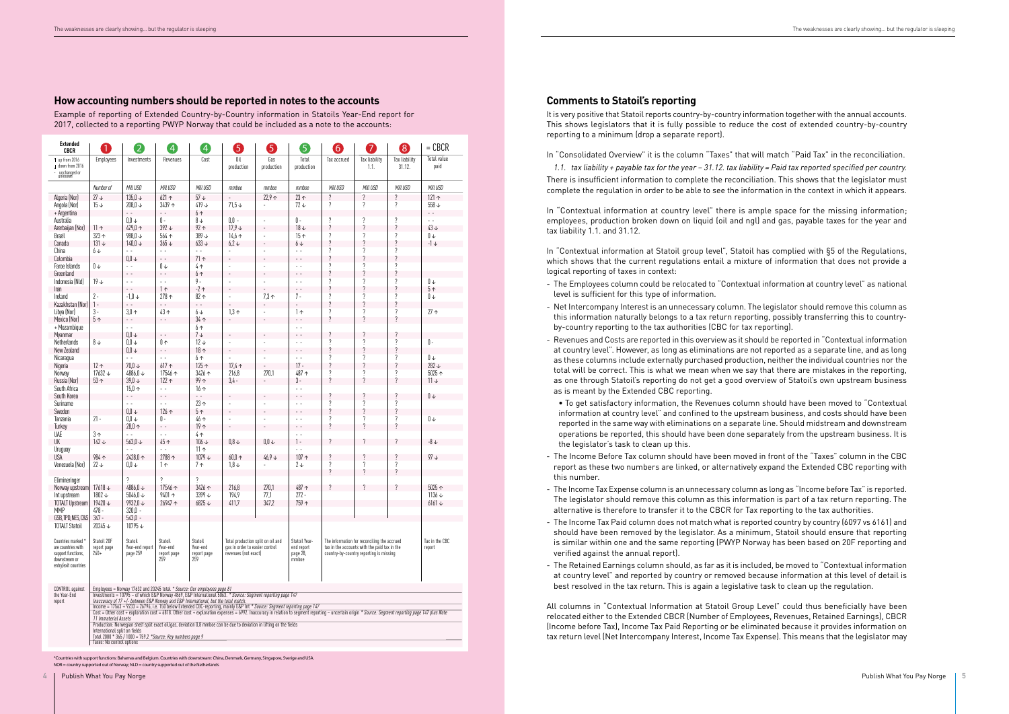## **Comments to Statoil's reporting**

It is very positive that Statoil reports country-by-country information together with the annual accounts. This shows legislators that it is fully possible to reduce the cost of extended country-by-country reporting to a minimum (drop a separate report).

In "Consolidated Overview" it is the column "Taxes" that will match "Paid Tax" in the reconciliation. *1.1. tax liability + payable tax for the year – 31.12. tax liability = Paid tax reported specified per country.* There is insufficient information to complete the reconciliation. This shows that the legislator must complete the regulation in order to be able to see the information in the context in which it appears.

In "Contextual information at country level" there is ample space for the missing information; employees, production broken down on liquid (oil and ngl) and gas, payable taxes for the year and tax liability 1.1. and 31.12.

In "Contextual information at Statoil group level", Statoil has complied with §5 of the Regulations, which shows that the current regulations entail a mixture of information that does not provide a logical reporting of taxes in context:

| <b>Extended</b><br><b>CBCR</b>              | 1                                                                                                                                                                                                                                                                                                                                                                                                                          | $\overline{2}$                                              | $\left[ 4 \right]$      | $\left[ 4 \right]$      | 5                                                                   | 6                        | 5                         | 6                        | 7                                                                                           | 8                        | $=$ CBCR                 |
|---------------------------------------------|----------------------------------------------------------------------------------------------------------------------------------------------------------------------------------------------------------------------------------------------------------------------------------------------------------------------------------------------------------------------------------------------------------------------------|-------------------------------------------------------------|-------------------------|-------------------------|---------------------------------------------------------------------|--------------------------|---------------------------|--------------------------|---------------------------------------------------------------------------------------------|--------------------------|--------------------------|
| up from 2016                                | Employees                                                                                                                                                                                                                                                                                                                                                                                                                  | Investments                                                 | Revenues                | Cost                    | Oil                                                                 | Gas                      | Total                     | Tax accrued              | Tax liability                                                                               | Tax liability            | <b>Total value</b>       |
| L down from 2016<br>unchanged or<br>unknown |                                                                                                                                                                                                                                                                                                                                                                                                                            |                                                             |                         |                         | production                                                          | production               | production                |                          | 1.1.                                                                                        | 31.12.                   | paid                     |
|                                             | Number of                                                                                                                                                                                                                                                                                                                                                                                                                  | Mill USD                                                    | Mill USD                | Mill USD                | mmboe                                                               | mmboe                    | mmboe                     | Mill USD                 | Mill USD                                                                                    | Mill USD                 | Mill USD                 |
| Algeria (Nor)                               | $27 +$                                                                                                                                                                                                                                                                                                                                                                                                                     | $135,0 \vee$                                                | $621 \uparrow$          | $57\downarrow$          |                                                                     | $22.9 +$                 | $23 +$                    | $\overline{\cdot}$       | $\overline{\cdot}$                                                                          | $\overline{\mathcal{E}}$ | $121 -$                  |
| Angola (Nor)                                | $15 +$                                                                                                                                                                                                                                                                                                                                                                                                                     | 208,0 ↓                                                     | $3439 +$                | 419↓                    | $71,5 +$                                                            |                          | $72 +$                    | $\overline{\cdot}$       | $\overline{\cdot}$                                                                          | $\overline{\cdot}$       | $558 +$                  |
| + Argentina                                 |                                                                                                                                                                                                                                                                                                                                                                                                                            | $\sim$                                                      | $\sim$ $\sim$           | 6 <sub>0</sub>          |                                                                     |                          |                           |                          |                                                                                             |                          | $\sim$ $\sim$            |
| Australia                                   |                                                                                                                                                                                                                                                                                                                                                                                                                            | $0,0\downarrow$                                             | $\mathbb{I}$ -          | $\vartheta \downarrow$  | $0,0 -$                                                             | L.                       | $\mathbb 0$ -             | $\overline{\cdot}$       | $\overline{\cdot}$                                                                          | $\, ?$                   | $\omega_{\rm{eff}}$      |
| Azerbaijan (Nor)                            | $11 \uparrow$                                                                                                                                                                                                                                                                                                                                                                                                              | 429,0 ↑                                                     | $392 +$                 | $92 \uparrow$           | $17.9 +$                                                            | $\overline{a}$           | $18 +$                    | $\overline{\phantom{a}}$ | $\overline{\cdot}$                                                                          | $\overline{\cdot}$       | $43 +$                   |
| Brazil                                      | $323 -$                                                                                                                                                                                                                                                                                                                                                                                                                    | 988,0 ↓                                                     | $564 \uparrow$          | $389 +$                 | $14,6 \uparrow$                                                     | ä,                       | 15 <sub>0</sub>           | $\overline{\cdot}$       | $\overline{\cdot}$                                                                          | $\overline{\mathcal{E}}$ | $0 \downarrow$           |
| Canada                                      | $131 +$                                                                                                                                                                                                                                                                                                                                                                                                                    | $140,0 +$                                                   | $365 +$                 | $633 +$                 | $6.2 \downarrow$                                                    | $\overline{\phantom{a}}$ | $6 +$                     | $\overline{\cdot}$       | $\overline{\phantom{a}}$                                                                    | $\overline{\cdot}$       | $-1 +$                   |
| China                                       | 6↓                                                                                                                                                                                                                                                                                                                                                                                                                         | 24                                                          | $\omega_{\rm{c}}$ .     | $\mathbf{L}$            |                                                                     | $\overline{a}$           | $\sim$                    | $\overline{\cdot}$       | ?                                                                                           | $\overline{\mathcal{E}}$ |                          |
| Colombia                                    |                                                                                                                                                                                                                                                                                                                                                                                                                            | $0{,}0\,\uparrow$                                           | $\omega_{\rm c}$        | 71 <sub>0</sub>         |                                                                     | $\overline{\phantom{a}}$ | $\sim$ $\sim$             | $\overline{\cdot}$       | $\overline{\phantom{a}}$                                                                    | $\overline{\cdot}$       |                          |
| Faroe Islands                               | $\mathbb{I}\,\mathsf{v}$                                                                                                                                                                                                                                                                                                                                                                                                   | $\mathbb{Z}^{\times}$                                       | $0 +$                   | 4 <sub>0</sub>          | ÷,                                                                  | $\overline{a}$           | $\omega_{\rm{c}}$ .       | $\overline{\cdot}$       | $\gamma$                                                                                    | $\overline{\mathcal{E}}$ |                          |
| Greenland                                   |                                                                                                                                                                                                                                                                                                                                                                                                                            | Ц,                                                          | $\sim$ $\sim$           | 6 <sub>0</sub>          |                                                                     | ÷,                       | $\sim$ $\sim$             | $\overline{\phantom{a}}$ | $\boldsymbol{\eta}$                                                                         | $\overline{\cdot}$       |                          |
| Indonesia (Nld)                             | $19 +$                                                                                                                                                                                                                                                                                                                                                                                                                     | $\sim$ $\sim$                                               | $\sim$ $\sim$           | $9 -$                   |                                                                     | ÷,                       | $\sim$ $\sim$             | ?                        | ?                                                                                           | $\overline{\mathcal{E}}$ | $0 \downarrow$           |
| Iran                                        |                                                                                                                                                                                                                                                                                                                                                                                                                            | $\omega_{\rm c}$                                            | 1 <sub>0</sub>          | $-2 \uparrow$           | ÷,                                                                  |                          | $\sim$ $\sim$             | $\overline{\cdot}$       | $\overline{\mathcal{L}}$                                                                    | $\overline{\cdot}$       | 5 <sub>0</sub>           |
| Ireland                                     | $2 -$                                                                                                                                                                                                                                                                                                                                                                                                                      | $-1,0 \downarrow$                                           | 278 <sub>0</sub>        | $82 \uparrow$           |                                                                     | $7,3 \uparrow$           | $7 -$                     | $\overline{\cdot}$       | $\gamma$                                                                                    | $\overline{\mathcal{E}}$ | $0 +$                    |
| Kazakhstan (Nor)                            | $1 -$                                                                                                                                                                                                                                                                                                                                                                                                                      | $\sim$ $\sim$                                               | $\sim$ $\sim$           | $\overline{a}$          |                                                                     |                          |                           | $\overline{\phantom{a}}$ | $\boldsymbol{\eta}$                                                                         | $\overline{\cdot}$       |                          |
| Libva (Nor)                                 | $3 -$                                                                                                                                                                                                                                                                                                                                                                                                                      | $3,0 \uparrow$                                              | 43个                     | $6\downarrow$           | $1,3 \uparrow$                                                      | ÷,                       | 1 <sub>0</sub>            | $\overline{\cdot}$       | $\gamma$                                                                                    | $\overline{\mathcal{E}}$ | 27 <sub>0</sub>          |
| Mexico (Nor)                                | 5 <sub>0</sub>                                                                                                                                                                                                                                                                                                                                                                                                             | $\sim$ $\sim$                                               | $\sim$ $\sim$           | $34 \uparrow$           |                                                                     | ÷,                       | $\sim$ $\sim$             | $\boldsymbol{\eta}$      | $\boldsymbol{\eta}$                                                                         | $\overline{\phantom{0}}$ |                          |
| + Mozambique                                |                                                                                                                                                                                                                                                                                                                                                                                                                            | $\sim$ $\sim$                                               |                         | 6 <sub>0</sub>          |                                                                     |                          | $\sim$ $\sim$             |                          |                                                                                             |                          |                          |
|                                             |                                                                                                                                                                                                                                                                                                                                                                                                                            | $0,0\downarrow$                                             | $\sim$                  | $7\downarrow$           |                                                                     |                          | $\sim$ $\sim$             | ?                        | $\overline{\phantom{a}}$                                                                    | $\overline{\mathcal{E}}$ |                          |
| Myanmar<br>Netherlands                      | $8 +$                                                                                                                                                                                                                                                                                                                                                                                                                      | $0.0 \downarrow$                                            | $0 \uparrow$            | $12 +$                  |                                                                     | ÷,                       | $\omega_{\rm{c}}$ .       | ?                        | $\boldsymbol{\eta}$                                                                         | $\overline{\mathcal{E}}$ | $\mathbb{I}$ -           |
|                                             |                                                                                                                                                                                                                                                                                                                                                                                                                            |                                                             |                         | 18 <sub>0</sub>         | ÷,                                                                  |                          |                           | $\overline{\cdot}$       | $\overline{\mathcal{C}}$                                                                    | $\overline{\cdot}$       |                          |
| New Zealand                                 |                                                                                                                                                                                                                                                                                                                                                                                                                            | $0.0 \downarrow$                                            | $\sim$ $\sim$           |                         |                                                                     | $\overline{\phantom{a}}$ | $\sim$ $\sim$             |                          | $\gamma$                                                                                    |                          |                          |
| Nicaragua                                   |                                                                                                                                                                                                                                                                                                                                                                                                                            | $\omega$ .                                                  | $\omega_{\rm{c}}$       | 6 <sub>0</sub>          |                                                                     | ÷.                       | $\sim$ $\sim$             | ?                        |                                                                                             | $\overline{\mathcal{E}}$ | $\mathbb{I}\,\mathbb{v}$ |
| Nigeria                                     | 12 <sub>0</sub>                                                                                                                                                                                                                                                                                                                                                                                                            | $70,0\downarrow$                                            | $617 \uparrow$          | $125 \uparrow$          | $17,4 \uparrow$                                                     |                          | $17 -$                    | $\boldsymbol{\eta}$      | $\boldsymbol{\eta}$                                                                         | $\overline{\cdot}$       | $282 +$                  |
| Norway                                      | $17632 +$                                                                                                                                                                                                                                                                                                                                                                                                                  | 4886,0 ↓                                                    | 17546 ↑                 | 3426 ↑                  | 216,8                                                               | 270,1                    | 487 个                     | $\overline{\mathcal{C}}$ | ?                                                                                           | $\overline{\mathcal{E}}$ | $5025 \uparrow$          |
| Russia (Nor)                                | 53 <sub>0</sub>                                                                                                                                                                                                                                                                                                                                                                                                            | $39,0 \vee$                                                 | $122 \uparrow$          | 99 <sub>0</sub>         | $3,4 -$                                                             |                          | $3 -$                     | $\boldsymbol{\eta}$      | $\boldsymbol{\eta}$                                                                         | $\overline{\mathcal{C}}$ | $11 +$                   |
| South Africa                                |                                                                                                                                                                                                                                                                                                                                                                                                                            | $15,0 \uparrow$                                             | $\omega_{\rm{c}}$ .     | 16 <sub>0</sub>         |                                                                     |                          | $\omega_{\rm{c}}$ .       |                          |                                                                                             |                          |                          |
| South Korea                                 |                                                                                                                                                                                                                                                                                                                                                                                                                            | $\sim$ $\sim$                                               | $\sim$ $\sim$           | . .                     |                                                                     |                          | $\ddot{\phantom{0}}$      | ?                        | $\gamma$                                                                                    | $\overline{\phantom{a}}$ | $0 +$                    |
| Suriname                                    |                                                                                                                                                                                                                                                                                                                                                                                                                            | $\sim$ $\sim$                                               | $\omega_{\rm{c}}$       | 23 <sub>0</sub>         |                                                                     | ÷,                       | $\omega_{\rm c}$          | ?                        | $\boldsymbol{\eta}$                                                                         | $\overline{\mathcal{L}}$ |                          |
| Sweden                                      |                                                                                                                                                                                                                                                                                                                                                                                                                            | $0,0\downarrow$                                             | $126 \text{ } \uparrow$ | 5 <sub>0</sub>          | ÷,                                                                  | $\overline{a}$           | $\sim$ $\sim$             | ?                        | $\overline{\mathcal{C}}$                                                                    | $\overline{\cdot}$       |                          |
| Tanzania                                    | $21 -$                                                                                                                                                                                                                                                                                                                                                                                                                     | $0.0 \downarrow$                                            | $0 -$                   | $46 \uparrow$           |                                                                     |                          | $\sim$ $\sim$             | ?                        | $\gamma$                                                                                    | ?                        | $0\vee$                  |
| Turkey                                      |                                                                                                                                                                                                                                                                                                                                                                                                                            | 28,0 个                                                      | $\sim$ $\sim$           | 19 <sub>0</sub>         |                                                                     |                          | $\sim$                    | $\boldsymbol{\eta}$      | $\boldsymbol{\eta}$                                                                         | $\overline{\mathcal{C}}$ |                          |
| UAE                                         | 3 <sub>0</sub>                                                                                                                                                                                                                                                                                                                                                                                                             | $\sim$                                                      | $\omega_{\rm{c}}$       | 4 <sub>0</sub>          |                                                                     |                          | $\mathbb{Z}^{\mathbb{Z}}$ |                          |                                                                                             |                          |                          |
| UK                                          | $142 +$                                                                                                                                                                                                                                                                                                                                                                                                                    | $563,0 \vee$                                                | 45 <sub>0</sub>         | $106 +$                 | $0,8 +$                                                             | $0,0\downarrow$          | $1 -$                     | 2                        | $\mathcal{P}$                                                                               | $\overline{\phantom{a}}$ | $-8 +$                   |
| Uruguay                                     |                                                                                                                                                                                                                                                                                                                                                                                                                            |                                                             | $\sim$ $\sim$           | $11 \uparrow$           |                                                                     |                          | . .                       |                          |                                                                                             |                          |                          |
| <b>USA</b>                                  | 984 T                                                                                                                                                                                                                                                                                                                                                                                                                      | 2428,0 ↑                                                    | 2788 ↑                  | 1079↓                   | 60,0 个                                                              | $46,9 +$                 | $107 \uparrow$            | ?                        | $\boldsymbol{\eta}$                                                                         | $\overline{\cdot}$       | $97 +$                   |
| Venezuela (Nor)                             | $22 +$                                                                                                                                                                                                                                                                                                                                                                                                                     | $0,0 \downarrow$                                            | $1 \uparrow$            | 7 <sub>0</sub>          | $1.8 \downarrow$                                                    |                          | $2 +$                     | ?                        | $\gamma$                                                                                    | $\ddot{?}$               |                          |
|                                             |                                                                                                                                                                                                                                                                                                                                                                                                                            |                                                             |                         |                         |                                                                     |                          |                           | $\boldsymbol{\eta}$      | $\boldsymbol{\eta}$                                                                         | $\overline{\phantom{a}}$ |                          |
| Elimineringer                               |                                                                                                                                                                                                                                                                                                                                                                                                                            | $\gamma$                                                    | $\gamma$                | $\gamma$                |                                                                     |                          |                           |                          |                                                                                             |                          |                          |
| Norway upstream                             | 17618 ↓                                                                                                                                                                                                                                                                                                                                                                                                                    | 4886,0 ↓                                                    | 17546 ↑                 | 3426 ↑                  | 216,8                                                               | 270,1                    | 487 个                     | $\mathcal{D}$            | $\mathcal{P}$                                                                               | $\gamma$                 | $5025 \uparrow$          |
| Int upstream                                | 1802 ↓                                                                                                                                                                                                                                                                                                                                                                                                                     | 5046,0 $\downarrow$                                         | 9401 个                  | 3399 ↓                  | 194,9                                                               | 77,1                     | $272 -$                   |                          |                                                                                             |                          | $1136 \downarrow$        |
| <b>TOTALT Upstream</b>                      | 19420 ↓                                                                                                                                                                                                                                                                                                                                                                                                                    | 9932,0 ↓                                                    | 26947 ↑                 | $6825 +$                | 411,7                                                               | 347,2                    | 759 个                     |                          |                                                                                             |                          | $6161 \downarrow$        |
| <b>MMP</b>                                  | 478 -                                                                                                                                                                                                                                                                                                                                                                                                                      | $320,0 -$                                                   |                         |                         |                                                                     |                          |                           |                          |                                                                                             |                          |                          |
| GSB, TPD, NES, C&S                          | $347 -$                                                                                                                                                                                                                                                                                                                                                                                                                    | $543,0 -$                                                   |                         |                         |                                                                     |                          |                           |                          |                                                                                             |                          |                          |
| <b>TOTALT Statoil</b>                       | 20245 ↓                                                                                                                                                                                                                                                                                                                                                                                                                    | 10795↓                                                      |                         |                         |                                                                     |                          |                           |                          |                                                                                             |                          |                          |
|                                             |                                                                                                                                                                                                                                                                                                                                                                                                                            |                                                             |                         |                         |                                                                     |                          |                           |                          |                                                                                             |                          |                          |
| Countries marked *                          | Statoil 20F                                                                                                                                                                                                                                                                                                                                                                                                                | Statoil                                                     | Statoil                 | Statoil                 | Total production split on oil and<br>gas in order to easier control |                          | Statoil Year-             |                          | The information for reconciling the accrued<br>tax in the accounts with the paid tax in the |                          | Tax in the CBC           |
| are countries with<br>support functions,    | report page<br>$260+$                                                                                                                                                                                                                                                                                                                                                                                                      | Year-end report<br>page 259                                 | Year-end<br>report page | Year-end<br>report page | revenues (not exact)                                                |                          | end report<br>page 28,    |                          | country-by-country reporting is missing                                                     | report                   |                          |
| downstream or                               |                                                                                                                                                                                                                                                                                                                                                                                                                            |                                                             | 259                     | 259                     |                                                                     |                          | mmboe                     |                          |                                                                                             |                          |                          |
| entry/exit countries                        |                                                                                                                                                                                                                                                                                                                                                                                                                            |                                                             |                         |                         |                                                                     |                          |                           |                          |                                                                                             |                          |                          |
|                                             |                                                                                                                                                                                                                                                                                                                                                                                                                            |                                                             |                         |                         |                                                                     |                          |                           |                          |                                                                                             |                          |                          |
|                                             |                                                                                                                                                                                                                                                                                                                                                                                                                            |                                                             |                         |                         |                                                                     |                          |                           |                          |                                                                                             |                          |                          |
| CONTROL against<br>the Year-End             | Employees = Norway 17632 and 20245 total * Source: Our employees page 81<br>Investments = 10795 - of which E&P Norway 4869, E&P International 5063. * Source: Segment reporting page 147                                                                                                                                                                                                                                   |                                                             |                         |                         |                                                                     |                          |                           |                          |                                                                                             |                          |                          |
| report                                      | Inaccuracy of 17 +/- between E&P Norway and E&P International, but the total match.<br>Income = 17563 + 9233 = 26796, i.e. 150 below Extended CBC-reporting, mainly E&P Int * Source: Segment reporting page 147<br>$Cost = 0$ the cost + exploration cost = 6818. Other cost + exploration expenses = 6992. Inaccuracy in relation to segment reporting - uncertain origin * Source: Segment reporting page 147 plus Note |                                                             |                         |                         |                                                                     |                          |                           |                          |                                                                                             |                          |                          |
|                                             |                                                                                                                                                                                                                                                                                                                                                                                                                            |                                                             |                         |                         |                                                                     |                          |                           |                          |                                                                                             |                          |                          |
|                                             |                                                                                                                                                                                                                                                                                                                                                                                                                            |                                                             |                         |                         |                                                                     |                          |                           |                          |                                                                                             |                          |                          |
|                                             | 11 Immaterial Assets<br>Production: Norwegian shelf split exact oil/gas, deviation 0,8 mmboe can be due to deviation in lifting on the fields<br>International split on fields                                                                                                                                                                                                                                             |                                                             |                         |                         |                                                                     |                          |                           |                          |                                                                                             |                          |                          |
|                                             |                                                                                                                                                                                                                                                                                                                                                                                                                            |                                                             |                         |                         |                                                                     |                          |                           |                          |                                                                                             |                          |                          |
|                                             |                                                                                                                                                                                                                                                                                                                                                                                                                            | Total 2080 * 365 / 1000 = 759,2 *Source: Key numbers page 9 |                         |                         |                                                                     |                          |                           |                          |                                                                                             |                          |                          |
|                                             | Taxes: No control options                                                                                                                                                                                                                                                                                                                                                                                                  |                                                             |                         |                         |                                                                     |                          |                           |                          |                                                                                             |                          |                          |

- The Employees column could be relocated to "Contextual information at country level" as national level is sufficient for this type of information.
- Net Intercompany Interest is an unnecessary column. The legislator should remove this column as this information naturally belongs to a tax return reporting, possibly transferring this to countryby-country reporting to the tax authorities (CBC for tax reporting).
- Revenues and Costs are reported in this overview as it should be reported in "Contextual information at country level". However, as long as eliminations are not reported as a separate line, and as long as these columns include externally purchased production, neither the individual countries nor the total will be correct. This is what we mean when we say that there are mistakes in the reporting, as one through Statoil's reporting do not get a good overview of Statoil's own upstream business as is meant by the Extended CBC reporting.
	- To get satisfactory information, the Revenues column should have been moved to "Contextual information at country level" and confined to the upstream business, and costs should have been reported in the same way with eliminations on a separate line. Should midstream and downstream operations be reported, this should have been done separately from the upstream business. It is the legislator's task to clean up this.
- The Income Before Tax column should have been moved in front of the "Taxes" column in the CBC report as these two numbers are linked, or alternatively expand the Extended CBC reporting with this number.
- The Income Tax Expense column is an unnecessary column as long as "Income before Tax" is reported. The legislator should remove this column as this information is part of a tax return reporting. The alternative is therefore to transfer it to the CBCR for Tax reporting to the tax authorities.
- The Income Tax Paid column does not match what is reported country by country (6097 vs 6161) and should have been removed by the legislator. As a minimum, Statoil should ensure that reporting is similar within one and the same reporting (PWYP Norway has been based on 20F reporting and verified against the annual report).
- The Retained Earnings column should, as far as it is included, be moved to "Contextual information at country level" and reported by country or removed because information at this level of detail is best resolved in the tax return. This is again a legislative task to clean up the regulation.

All columns in "Contextual Information at Statoil Group Level" could thus beneficially have been relocated either to the Extended CBCR (Number of Employees, Revenues, Retained Earnings), CBCR (Income before Tax), Income Tax Paid Reporting or be eliminated because it provides information on tax return level (Net Intercompany Interest, Income Tax Expense). This means that the legislator may

## **How accounting numbers should be reported in notes to the accounts**

Example of reporting of Extended Country-by-Country information in Statoils Year-End report for 2017, collected to a reporting PWYP Norway that could be included as a note to the accounts:

\*Countries with support functions: Bahamas and Belgium. Countries with downstream: China, Denmark, Germany, Singapore, Sverige and USA. NOR = country supported out of Norway; NLD = country supported out of the Netherlands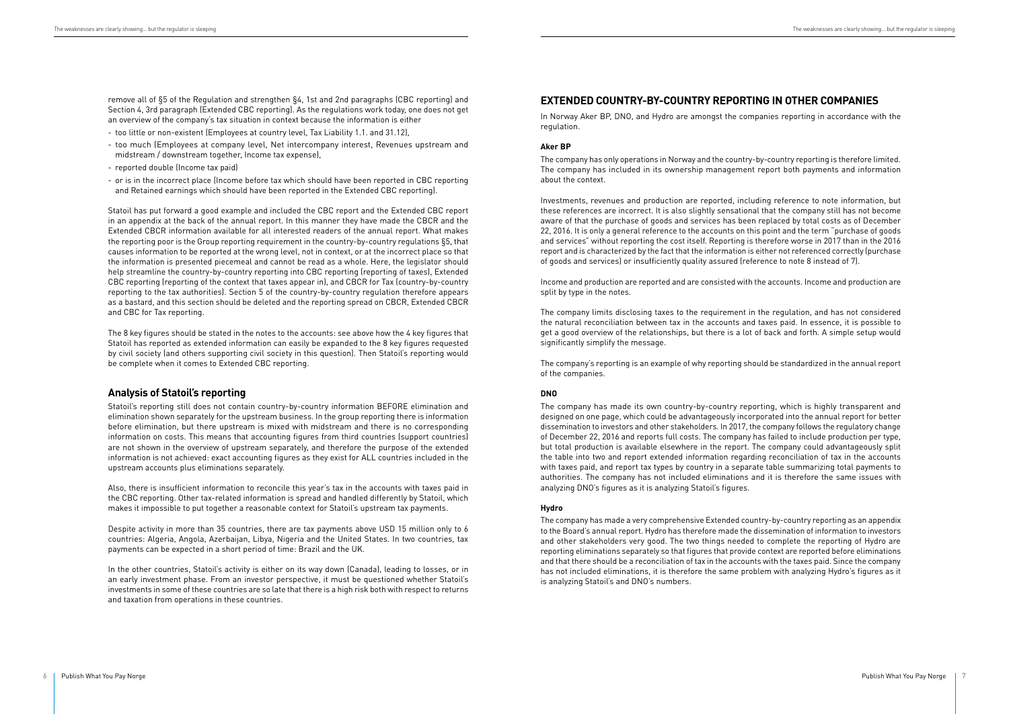# **EXTENDED COUNTRY-BY-COUNTRY REPORTING IN OTHER COMPANIES**

In Norway Aker BP, DNO, and Hydro are amongst the companies reporting in accordance with the regulation.

#### **Aker BP**

The company has only operations in Norway and the country-by-country reporting is therefore limited. The company has included in its ownership management report both payments and information about the context.

Investments, revenues and production are reported, including reference to note information, but these references are incorrect. It is also slightly sensational that the company still has not become aware of that the purchase of goods and services has been replaced by total costs as of December 22, 2016. It is only a general reference to the accounts on this point and the term "purchase of goods and services" without reporting the cost itself. Reporting is therefore worse in 2017 than in the 2016 report and is characterized by the fact that the information is either not referenced correctly (purchase of goods and services) or insufficiently quality assured (reference to note 8 instead of 7).

Income and production are reported and are consisted with the accounts. Income and production are split by type in the notes.

The company limits disclosing taxes to the requirement in the regulation, and has not considered the natural reconciliation between tax in the accounts and taxes paid. In essence, it is possible to get a good overview of the relationships, but there is a lot of back and forth. A simple setup would significantly simplify the message.

The company's reporting is an example of why reporting should be standardized in the annual report of the companies.

#### **DNO**

The company has made its own country-by-country reporting, which is highly transparent and designed on one page, which could be advantageously incorporated into the annual report for better dissemination to investors and other stakeholders. In 2017, the company follows the regulatory change of December 22, 2016 and reports full costs. The company has failed to include production per type, but total production is available elsewhere in the report. The company could advantageously split the table into two and report extended information regarding reconciliation of tax in the accounts with taxes paid, and report tax types by country in a separate table summarizing total payments to authorities. The company has not included eliminations and it is therefore the same issues with analyzing DNO's figures as it is analyzing Statoil's figures.

#### **Hydro**

The company has made a very comprehensive Extended country-by-country reporting as an appendix to the Board's annual report. Hydro has therefore made the dissemination of information to investors and other stakeholders very good. The two things needed to complete the reporting of Hydro are reporting eliminations separately so that figures that provide context are reported before eliminations and that there should be a reconciliation of tax in the accounts with the taxes paid. Since the company has not included eliminations, it is therefore the same problem with analyzing Hydro's figures as it is analyzing Statoil's and DNO's numbers.

remove all of §5 of the Regulation and strengthen §4, 1st and 2nd paragraphs (CBC reporting) and Section 4, 3rd paragraph (Extended CBC reporting). As the regulations work today, one does not get an overview of the company's tax situation in context because the information is either

- too little or non-existent (Employees at country level, Tax Liability 1.1. and 31.12),
- too much (Employees at company level, Net intercompany interest, Revenues upstream and midstream / downstream together, Income tax expense),
- reported double (Income tax paid)
- or is in the incorrect place (Income before tax which should have been reported in CBC reporting and Retained earnings which should have been reported in the Extended CBC reporting).

Statoil has put forward a good example and included the CBC report and the Extended CBC report in an appendix at the back of the annual report. In this manner they have made the CBCR and the Extended CBCR information available for all interested readers of the annual report. What makes the reporting poor is the Group reporting requirement in the country-by-country regulations §5, that causes information to be reported at the wrong level, not in context, or at the incorrect place so that the information is presented piecemeal and cannot be read as a whole. Here, the legislator should help streamline the country-by-country reporting into CBC reporting (reporting of taxes), Extended CBC reporting (reporting of the context that taxes appear in), and CBCR for Tax (country-by-country reporting to the tax authorities). Section 5 of the country-by-country regulation therefore appears as a bastard, and this section should be deleted and the reporting spread on CBCR, Extended CBCR and CBC for Tax reporting.

The 8 key figures should be stated in the notes to the accounts: see above how the 4 key figures that Statoil has reported as extended information can easily be expanded to the 8 key figures requested by civil society (and others supporting civil society in this question). Then Statoil's reporting would be complete when it comes to Extended CBC reporting.

# **Analysis of Statoil's reporting**

Statoil's reporting still does not contain country-by-country information BEFORE elimination and elimination shown separately for the upstream business. In the group reporting there is information before elimination, but there upstream is mixed with midstream and there is no corresponding information on costs. This means that accounting figures from third countries (support countries) are not shown in the overview of upstream separately, and therefore the purpose of the extended information is not achieved: exact accounting figures as they exist for ALL countries included in the upstream accounts plus eliminations separately.

Also, there is insufficient information to reconcile this year's tax in the accounts with taxes paid in the CBC reporting. Other tax-related information is spread and handled differently by Statoil, which makes it impossible to put together a reasonable context for Statoil's upstream tax payments.

Despite activity in more than 35 countries, there are tax payments above USD 15 million only to 6 countries: Algeria, Angola, Azerbaijan, Libya, Nigeria and the United States. In two countries, tax payments can be expected in a short period of time: Brazil and the UK.

In the other countries, Statoil's activity is either on its way down (Canada), leading to losses, or in an early investment phase. From an investor perspective, it must be questioned whether Statoil's investments in some of these countries are so late that there is a high risk both with respect to returns and taxation from operations in these countries.